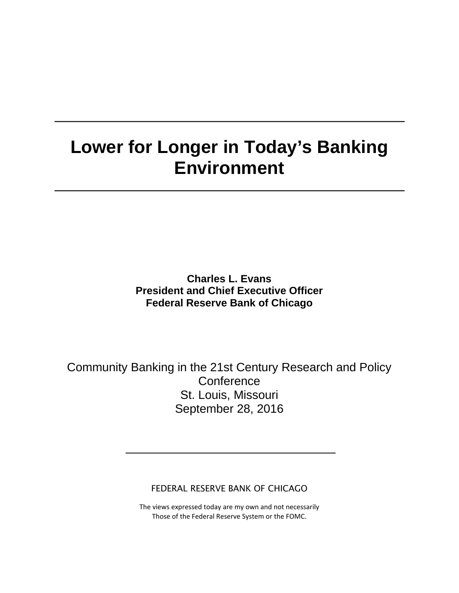# **Lower for Longer in Today's Banking Environment**

**Charles L. Evans President and Chief Executive Officer Federal Reserve Bank of Chicago**

Community Banking in the 21st Century Research and Policy **Conference** St. Louis, Missouri September 28, 2016

FEDERAL RESERVE BANK OF CHICAGO

The views expressed today are my own and not necessarily Those of the Federal Reserve System or the FOMC.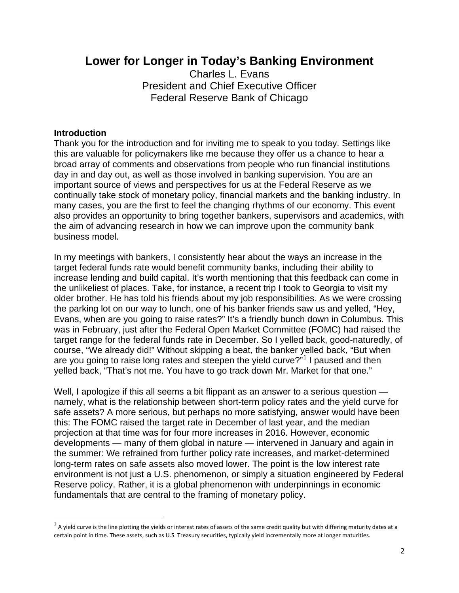# **Lower for Longer in Today's Banking Environment**

Charles L. Evans President and Chief Executive Officer Federal Reserve Bank of Chicago

#### **Introduction**

Thank you for the introduction and for inviting me to speak to you today. Settings like this are valuable for policymakers like me because they offer us a chance to hear a broad array of comments and observations from people who run financial institutions day in and day out, as well as those involved in banking supervision. You are an important source of views and perspectives for us at the Federal Reserve as we continually take stock of monetary policy, financial markets and the banking industry. In many cases, you are the first to feel the changing rhythms of our economy. This event also provides an opportunity to bring together bankers, supervisors and academics, with the aim of advancing research in how we can improve upon the community bank business model.

In my meetings with bankers, I consistently hear about the ways an increase in the target federal funds rate would benefit community banks, including their ability to increase lending and build capital. It's worth mentioning that this feedback can come in the unlikeliest of places. Take, for instance, a recent trip I took to Georgia to visit my older brother. He has told his friends about my job responsibilities. As we were crossing the parking lot on our way to lunch, one of his banker friends saw us and yelled, "Hey, Evans, when are you going to raise rates?" It's a friendly bunch down in Columbus. This was in February, just after the Federal Open Market Committee (FOMC) had raised the target range for the federal funds rate in December. So I yelled back, good-naturedly, of course, "We already did!" Without skipping a beat, the banker yelled back, "But when are you going to raise long rates and steepen the yield curve?"<sup>[1](#page-1-0)</sup> I paused and then yelled back, "That's not me. You have to go track down Mr. Market for that one."

Well, I apologize if this all seems a bit flippant as an answer to a serious question namely, what is the relationship between short-term policy rates and the yield curve for safe assets? A more serious, but perhaps no more satisfying, answer would have been this: The FOMC raised the target rate in December of last year, and the median projection at that time was for four more increases in 2016. However, economic developments — many of them global in nature — intervened in January and again in the summer: We refrained from further policy rate increases, and market-determined long-term rates on safe assets also moved lower. The point is the low interest rate environment is not just a U.S. phenomenon, or simply a situation engineered by Federal Reserve policy. Rather, it is a global phenomenon with underpinnings in economic fundamentals that are central to the framing of monetary policy.

<span id="page-1-0"></span> $1$  A yield curve is the line plotting the yields or interest rates of assets of the same credit quality but with differing maturity dates at a certain point in time. These assets, such as U.S. Treasury securities, typically yield incrementally more at longer maturities.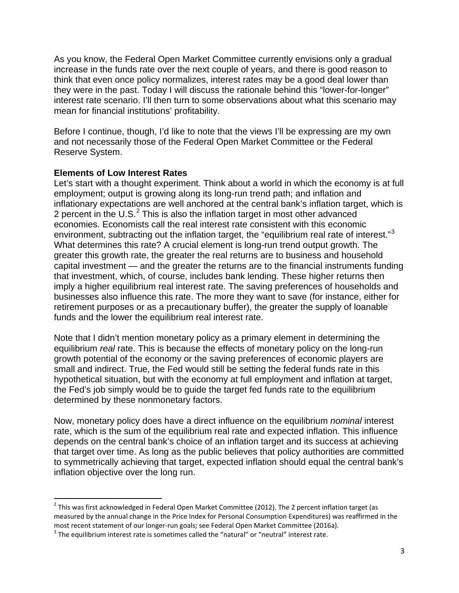As you know, the Federal Open Market Committee currently envisions only a gradual increase in the funds rate over the next couple of years, and there is good reason to think that even once policy normalizes, interest rates may be a good deal lower than they were in the past. Today I will discuss the rationale behind this "lower-for-longer" interest rate scenario. I'll then turn to some observations about what this scenario may mean for financial institutions' profitability.

Before I continue, though, I'd like to note that the views I'll be expressing are my own and not necessarily those of the Federal Open Market Committee or the Federal Reserve System.

# **Elements of Low Interest Rates**

Let's start with a thought experiment. Think about a world in which the economy is at full employment; output is growing along its long-run trend path; and inflation and inflationary expectations are well anchored at the central bank's inflation target, which is [2](#page-2-0) percent in the U.S. $2$  This is also the inflation target in most other advanced economies. Economists call the real interest rate consistent with this economic environment, subtracting out the inflation target, the "equilibrium real rate of interest."<sup>[3](#page-2-1)</sup> What determines this rate? A crucial element is long-run trend output growth. The greater this growth rate, the greater the real returns are to business and household capital investment — and the greater the returns are to the financial instruments funding that investment, which, of course, includes bank lending. These higher returns then imply a higher equilibrium real interest rate. The saving preferences of households and businesses also influence this rate. The more they want to save (for instance, either for retirement purposes or as a precautionary buffer), the greater the supply of loanable funds and the lower the equilibrium real interest rate.

Note that I didn't mention monetary policy as a primary element in determining the equilibrium *real* rate. This is because the effects of monetary policy on the long-run growth potential of the economy or the saving preferences of economic players are small and indirect. True, the Fed would still be setting the federal funds rate in this hypothetical situation, but with the economy at full employment and inflation at target, the Fed's job simply would be to guide the target fed funds rate to the equilibrium determined by these nonmonetary factors.

Now, monetary policy does have a direct influence on the equilibrium *nominal* interest rate, which is the sum of the equilibrium real rate and expected inflation. This influence depends on the central bank's choice of an inflation target and its success at achieving that target over time. As long as the public believes that policy authorities are committed to symmetrically achieving that target, expected inflation should equal the central bank's inflation objective over the long run.

<span id="page-2-0"></span> $<sup>2</sup>$  This was first acknowledged in Federal Open Market Committee (2012). The 2 percent inflation target (as</sup> measured by the annual change in the Price Index for Personal Consumption Expenditures) was reaffirmed in the most recent statement of our longer-run goals; see Federal Open Market Committee (2016a).<br><sup>3</sup> The equilibrium interest rate is sometimes called the "natural" or "neutral" interest rate.

<span id="page-2-1"></span>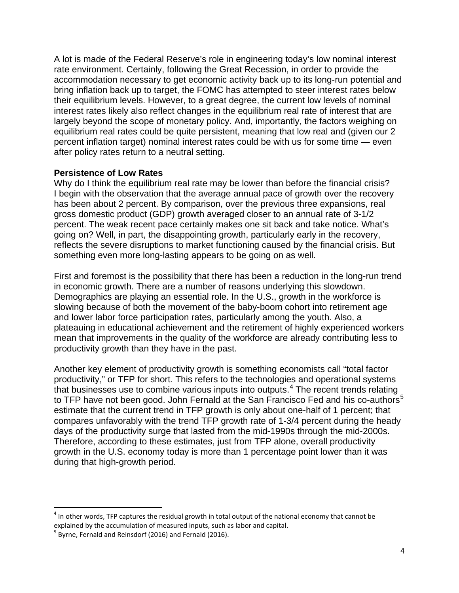A lot is made of the Federal Reserve's role in engineering today's low nominal interest rate environment. Certainly, following the Great Recession, in order to provide the accommodation necessary to get economic activity back up to its long-run potential and bring inflation back up to target, the FOMC has attempted to steer interest rates below their equilibrium levels. However, to a great degree, the current low levels of nominal interest rates likely also reflect changes in the equilibrium real rate of interest that are largely beyond the scope of monetary policy. And, importantly, the factors weighing on equilibrium real rates could be quite persistent, meaning that low real and (given our 2 percent inflation target) nominal interest rates could be with us for some time — even after policy rates return to a neutral setting.

#### **Persistence of Low Rates**

Why do I think the equilibrium real rate may be lower than before the financial crisis? I begin with the observation that the average annual pace of growth over the recovery has been about 2 percent. By comparison, over the previous three expansions, real gross domestic product (GDP) growth averaged closer to an annual rate of 3-1/2 percent. The weak recent pace certainly makes one sit back and take notice. What's going on? Well, in part, the disappointing growth, particularly early in the recovery, reflects the severe disruptions to market functioning caused by the financial crisis. But something even more long-lasting appears to be going on as well.

First and foremost is the possibility that there has been a reduction in the long-run trend in economic growth. There are a number of reasons underlying this slowdown. Demographics are playing an essential role. In the U.S., growth in the workforce is slowing because of both the movement of the baby-boom cohort into retirement age and lower labor force participation rates, particularly among the youth. Also, a plateauing in educational achievement and the retirement of highly experienced workers mean that improvements in the quality of the workforce are already contributing less to productivity growth than they have in the past.

Another key element of productivity growth is something economists call "total factor productivity," or TFP for short. This refers to the technologies and operational systems that businesses use to combine various inputs into outputs.<sup>[4](#page-3-0)</sup> The recent trends relating to TFP have not been good. John Fernald at the San Francisco Fed and his co-authors $5$ estimate that the current trend in TFP growth is only about one-half of 1 percent; that compares unfavorably with the trend TFP growth rate of 1-3/4 percent during the heady days of the productivity surge that lasted from the mid-1990s through the mid-2000s. Therefore, according to these estimates, just from TFP alone, overall productivity growth in the U.S. economy today is more than 1 percentage point lower than it was during that high-growth period.

<span id="page-3-0"></span> $<sup>4</sup>$  In other words, TFP captures the residual growth in total output of the national economy that cannot be</sup> explained by the accumulation of measured inputs, such as labor and capital.

<span id="page-3-1"></span> $<sup>5</sup>$  Byrne, Fernald and Reinsdorf (2016) and Fernald (2016).</sup>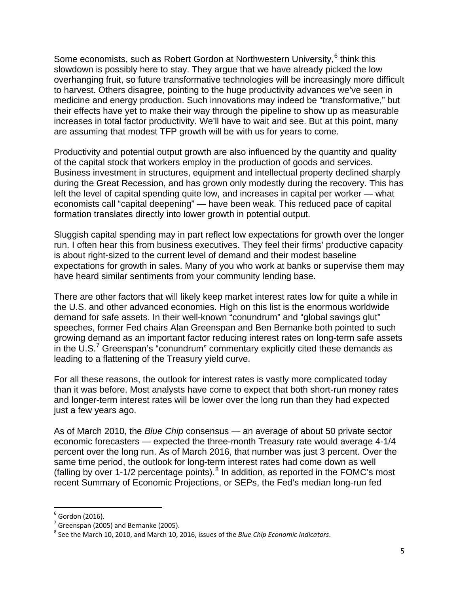Some economists, such as Robert Gordon at Northwestern University, <sup>[6](#page-4-0)</sup> think this slowdown is possibly here to stay. They argue that we have already picked the low overhanging fruit, so future transformative technologies will be increasingly more difficult to harvest. Others disagree, pointing to the huge productivity advances we've seen in medicine and energy production. Such innovations may indeed be "transformative," but their effects have yet to make their way through the pipeline to show up as measurable increases in total factor productivity. We'll have to wait and see. But at this point, many are assuming that modest TFP growth will be with us for years to come.

Productivity and potential output growth are also influenced by the quantity and quality of the capital stock that workers employ in the production of goods and services. Business investment in structures, equipment and intellectual property declined sharply during the Great Recession, and has grown only modestly during the recovery. This has left the level of capital spending quite low, and increases in capital per worker — what economists call "capital deepening" — have been weak. This reduced pace of capital formation translates directly into lower growth in potential output.

Sluggish capital spending may in part reflect low expectations for growth over the longer run. I often hear this from business executives. They feel their firms' productive capacity is about right-sized to the current level of demand and their modest baseline expectations for growth in sales. Many of you who work at banks or supervise them may have heard similar sentiments from your community lending base.

There are other factors that will likely keep market interest rates low for quite a while in the U.S. and other advanced economies. High on this list is the enormous worldwide demand for safe assets. In their well-known "conundrum" and "global savings glut" speeches, former Fed chairs Alan Greenspan and Ben Bernanke both pointed to such growing demand as an important factor reducing interest rates on long-term safe assets in the  $U.S.^7$  $U.S.^7$  Greenspan's "conundrum" commentary explicitly cited these demands as leading to a flattening of the Treasury yield curve.

For all these reasons, the outlook for interest rates is vastly more complicated today than it was before. Most analysts have come to expect that both short-run money rates and longer-term interest rates will be lower over the long run than they had expected just a few years ago.

As of March 2010, the *Blue Chip* consensus — an average of about 50 private sector economic forecasters — expected the three-month Treasury rate would average 4-1/4 percent over the long run. As of March 2016, that number was just 3 percent. Over the same time period, the outlook for long-term interest rates had come down as well (falling by over 1-1/2 percentage points). $8$  In addition, as reported in the FOMC's most recent Summary of Economic Projections, or SEPs, the Fed's median long-run fed

<span id="page-4-0"></span> $^5$  Gordon (2016).<br><sup>7</sup> Greenspan (2005) and Bernanke (2005).

<span id="page-4-2"></span><span id="page-4-1"></span><sup>8</sup> See the March 10, 2010, and March 10, 2016, issues of the *Blue Chip Economic Indicators*.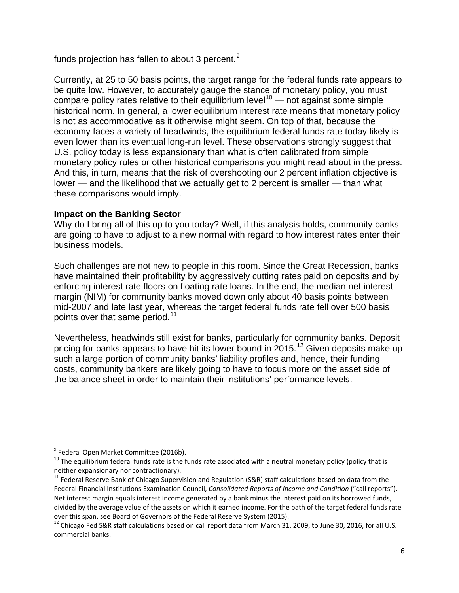funds projection has fallen to about 3 percent.<sup>[9](#page-5-0)</sup>

Currently, at 25 to 50 basis points, the target range for the federal funds rate appears to be quite low. However, to accurately gauge the stance of monetary policy, you must compare policy rates relative to their equilibrium level<sup>[10](#page-5-1)</sup> — not against some simple historical norm. In general, a lower equilibrium interest rate means that monetary policy is not as accommodative as it otherwise might seem. On top of that, because the economy faces a variety of headwinds, the equilibrium federal funds rate today likely is even lower than its eventual long-run level. These observations strongly suggest that U.S. policy today is less expansionary than what is often calibrated from simple monetary policy rules or other historical comparisons you might read about in the press. And this, in turn, means that the risk of overshooting our 2 percent inflation objective is lower — and the likelihood that we actually get to 2 percent is smaller — than what these comparisons would imply.

# **Impact on the Banking Sector**

Why do I bring all of this up to you today? Well, if this analysis holds, community banks are going to have to adjust to a new normal with regard to how interest rates enter their business models.

Such challenges are not new to people in this room. Since the Great Recession, banks have maintained their profitability by aggressively cutting rates paid on deposits and by enforcing interest rate floors on floating rate loans. In the end, the median net interest margin (NIM) for community banks moved down only about 40 basis points between mid-2007 and late last year, whereas the target federal funds rate fell over 500 basis points over that same period.<sup>[11](#page-5-2)</sup>

Nevertheless, headwinds still exist for banks, particularly for community banks. Deposit pricing for banks appears to have hit its lower bound in 2015.<sup>[12](#page-5-3)</sup> Given deposits make up such a large portion of community banks' liability profiles and, hence, their funding costs, community bankers are likely going to have to focus more on the asset side of the balance sheet in order to maintain their institutions' performance levels.

<span id="page-5-1"></span><span id="page-5-0"></span><sup>&</sup>lt;sup>9</sup> Federal Open Market Committee (2016b).<br><sup>10</sup> The equilibrium federal funds rate is the funds rate associated with a neutral monetary policy (policy that is neither expansionary nor contractionary).

<span id="page-5-2"></span> $11$  Federal Reserve Bank of Chicago Supervision and Regulation (S&R) staff calculations based on data from the Federal Financial Institutions Examination Council, *Consolidated Reports of Income and Condition* ("call reports"). Net interest margin equals interest income generated by a bank minus the interest paid on its borrowed funds, divided by the average value of the assets on which it earned income. For the path of the target federal funds rate<br>over this span, see Board of Governors of the Federal Reserve System (2015).

<span id="page-5-3"></span> $12$  Chicago Fed S&R staff calculations based on call report data from March 31, 2009, to June 30, 2016, for all U.S. commercial banks.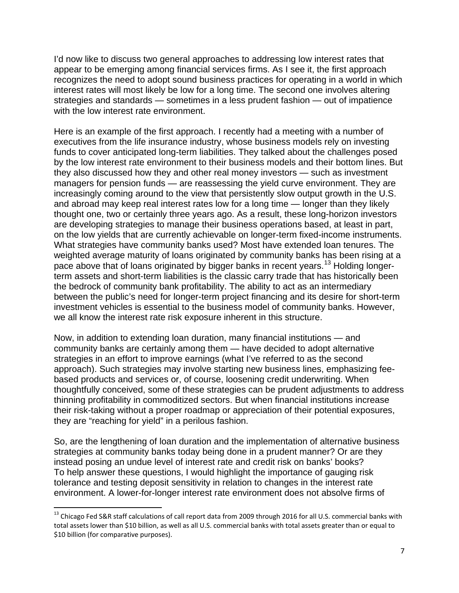I'd now like to discuss two general approaches to addressing low interest rates that appear to be emerging among financial services firms. As I see it, the first approach recognizes the need to adopt sound business practices for operating in a world in which interest rates will most likely be low for a long time. The second one involves altering strategies and standards — sometimes in a less prudent fashion — out of impatience with the low interest rate environment.

Here is an example of the first approach. I recently had a meeting with a number of executives from the life insurance industry, whose business models rely on investing funds to cover anticipated long-term liabilities. They talked about the challenges posed by the low interest rate environment to their business models and their bottom lines. But they also discussed how they and other real money investors — such as investment managers for pension funds — are reassessing the yield curve environment. They are increasingly coming around to the view that persistently slow output growth in the U.S. and abroad may keep real interest rates low for a long time — longer than they likely thought one, two or certainly three years ago. As a result, these long-horizon investors are developing strategies to manage their business operations based, at least in part, on the low yields that are currently achievable on longer-term fixed-income instruments. What strategies have community banks used? Most have extended loan tenures. The weighted average maturity of loans originated by community banks has been rising at a pace above that of loans originated by bigger banks in recent years.<sup>[13](#page-6-0)</sup> Holding longerterm assets and short-term liabilities is the classic carry trade that has historically been the bedrock of community bank profitability. The ability to act as an intermediary between the public's need for longer-term project financing and its desire for short-term investment vehicles is essential to the business model of community banks. However, we all know the interest rate risk exposure inherent in this structure.

Now, in addition to extending loan duration, many financial institutions — and community banks are certainly among them — have decided to adopt alternative strategies in an effort to improve earnings (what I've referred to as the second approach). Such strategies may involve starting new business lines, emphasizing feebased products and services or, of course, loosening credit underwriting. When thoughtfully conceived, some of these strategies can be prudent adjustments to address thinning profitability in commoditized sectors. But when financial institutions increase their risk-taking without a proper roadmap or appreciation of their potential exposures, they are "reaching for yield" in a perilous fashion.

So, are the lengthening of loan duration and the implementation of alternative business strategies at community banks today being done in a prudent manner? Or are they instead posing an undue level of interest rate and credit risk on banks' books? To help answer these questions, I would highlight the importance of gauging risk tolerance and testing deposit sensitivity in relation to changes in the interest rate environment. A lower-for-longer interest rate environment does not absolve firms of

<span id="page-6-0"></span><sup>&</sup>lt;sup>13</sup> Chicago Fed S&R staff calculations of call report data from 2009 through 2016 for all U.S. commercial banks with total assets lower than \$10 billion, as well as all U.S. commercial banks with total assets greater than or equal to \$10 billion (for comparative purposes).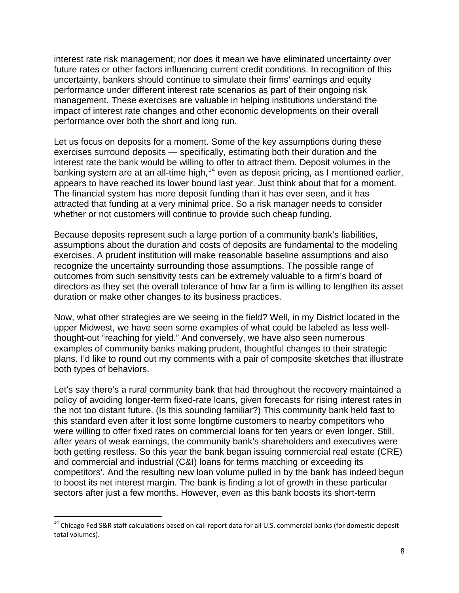interest rate risk management; nor does it mean we have eliminated uncertainty over future rates or other factors influencing current credit conditions. In recognition of this uncertainty, bankers should continue to simulate their firms' earnings and equity performance under different interest rate scenarios as part of their ongoing risk management. These exercises are valuable in helping institutions understand the impact of interest rate changes and other economic developments on their overall performance over both the short and long run.

Let us focus on deposits for a moment. Some of the key assumptions during these exercises surround deposits — specifically, estimating both their duration and the interest rate the bank would be willing to offer to attract them. Deposit volumes in the banking system are at an all-time high, <sup>[14](#page-7-0)</sup> even as deposit pricing, as I mentioned earlier, appears to have reached its lower bound last year. Just think about that for a moment. The financial system has more deposit funding than it has ever seen, and it has attracted that funding at a very minimal price. So a risk manager needs to consider whether or not customers will continue to provide such cheap funding.

Because deposits represent such a large portion of a community bank's liabilities, assumptions about the duration and costs of deposits are fundamental to the modeling exercises. A prudent institution will make reasonable baseline assumptions and also recognize the uncertainty surrounding those assumptions. The possible range of outcomes from such sensitivity tests can be extremely valuable to a firm's board of directors as they set the overall tolerance of how far a firm is willing to lengthen its asset duration or make other changes to its business practices.

Now, what other strategies are we seeing in the field? Well, in my District located in the upper Midwest, we have seen some examples of what could be labeled as less wellthought-out "reaching for yield." And conversely, we have also seen numerous examples of community banks making prudent, thoughtful changes to their strategic plans. I'd like to round out my comments with a pair of composite sketches that illustrate both types of behaviors.

Let's say there's a rural community bank that had throughout the recovery maintained a policy of avoiding longer-term fixed-rate loans, given forecasts for rising interest rates in the not too distant future. (Is this sounding familiar?) This community bank held fast to this standard even after it lost some longtime customers to nearby competitors who were willing to offer fixed rates on commercial loans for ten years or even longer. Still, after years of weak earnings, the community bank's shareholders and executives were both getting restless. So this year the bank began issuing commercial real estate (CRE) and commercial and industrial (C&I) loans for terms matching or exceeding its competitors'. And the resulting new loan volume pulled in by the bank has indeed begun to boost its net interest margin. The bank is finding a lot of growth in these particular sectors after just a few months. However, even as this bank boosts its short-term

<span id="page-7-0"></span><sup>&</sup>lt;sup>14</sup> Chicago Fed S&R staff calculations based on call report data for all U.S. commercial banks (for domestic deposit total volumes).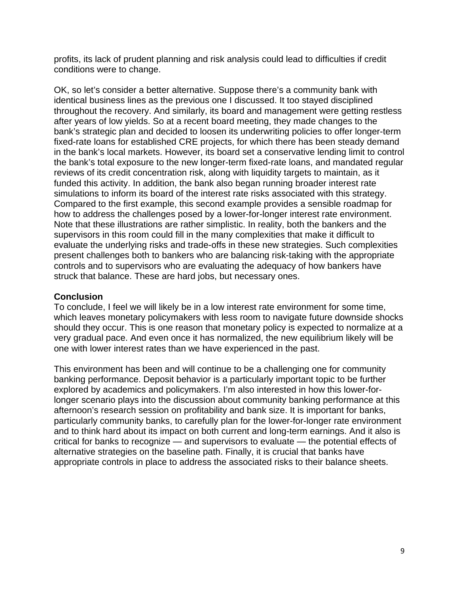profits, its lack of prudent planning and risk analysis could lead to difficulties if credit conditions were to change.

OK, so let's consider a better alternative. Suppose there's a community bank with identical business lines as the previous one I discussed. It too stayed disciplined throughout the recovery. And similarly, its board and management were getting restless after years of low yields. So at a recent board meeting, they made changes to the bank's strategic plan and decided to loosen its underwriting policies to offer longer-term fixed-rate loans for established CRE projects, for which there has been steady demand in the bank's local markets. However, its board set a conservative lending limit to control the bank's total exposure to the new longer-term fixed-rate loans, and mandated regular reviews of its credit concentration risk, along with liquidity targets to maintain, as it funded this activity. In addition, the bank also began running broader interest rate simulations to inform its board of the interest rate risks associated with this strategy. Compared to the first example, this second example provides a sensible roadmap for how to address the challenges posed by a lower-for-longer interest rate environment. Note that these illustrations are rather simplistic. In reality, both the bankers and the supervisors in this room could fill in the many complexities that make it difficult to evaluate the underlying risks and trade-offs in these new strategies. Such complexities present challenges both to bankers who are balancing risk-taking with the appropriate controls and to supervisors who are evaluating the adequacy of how bankers have struck that balance. These are hard jobs, but necessary ones.

## **Conclusion**

To conclude, I feel we will likely be in a low interest rate environment for some time, which leaves monetary policymakers with less room to navigate future downside shocks should they occur. This is one reason that monetary policy is expected to normalize at a very gradual pace. And even once it has normalized, the new equilibrium likely will be one with lower interest rates than we have experienced in the past.

This environment has been and will continue to be a challenging one for community banking performance. Deposit behavior is a particularly important topic to be further explored by academics and policymakers. I'm also interested in how this lower-forlonger scenario plays into the discussion about community banking performance at this afternoon's research session on profitability and bank size. It is important for banks, particularly community banks, to carefully plan for the lower-for-longer rate environment and to think hard about its impact on both current and long-term earnings. And it also is critical for banks to recognize — and supervisors to evaluate — the potential effects of alternative strategies on the baseline path. Finally, it is crucial that banks have appropriate controls in place to address the associated risks to their balance sheets.